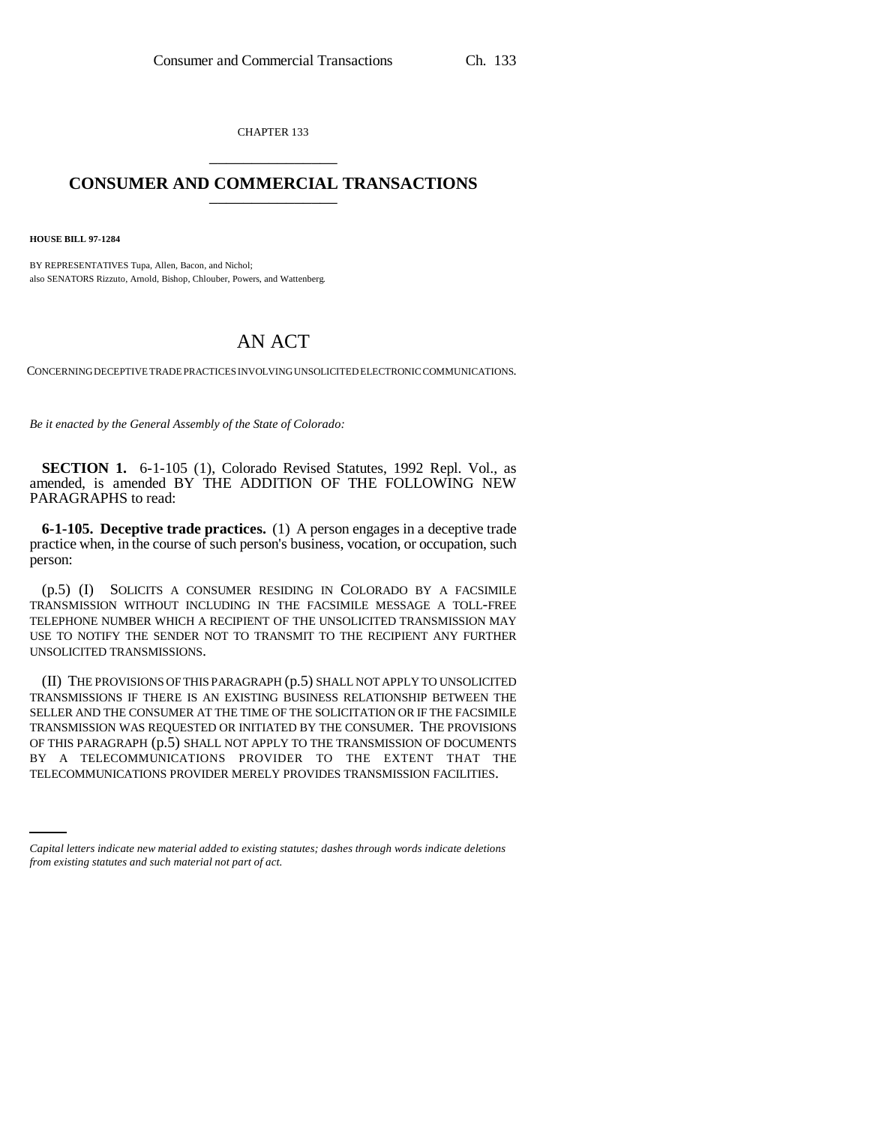CHAPTER 133 \_\_\_\_\_\_\_\_\_\_\_\_\_\_\_

## **CONSUMER AND COMMERCIAL TRANSACTIONS** \_\_\_\_\_\_\_\_\_\_\_\_\_\_\_

**HOUSE BILL 97-1284**

BY REPRESENTATIVES Tupa, Allen, Bacon, and Nichol; also SENATORS Rizzuto, Arnold, Bishop, Chlouber, Powers, and Wattenberg.

## AN ACT

CONCERNING DECEPTIVE TRADE PRACTICES INVOLVING UNSOLICITED ELECTRONIC COMMUNICATIONS.

*Be it enacted by the General Assembly of the State of Colorado:*

**SECTION 1.** 6-1-105 (1), Colorado Revised Statutes, 1992 Repl. Vol., as amended, is amended BY THE ADDITION OF THE FOLLOWING NEW PARAGRAPHS to read:

**6-1-105. Deceptive trade practices.** (1) A person engages in a deceptive trade practice when, in the course of such person's business, vocation, or occupation, such person:

(p.5) (I) SOLICITS A CONSUMER RESIDING IN COLORADO BY A FACSIMILE TRANSMISSION WITHOUT INCLUDING IN THE FACSIMILE MESSAGE A TOLL-FREE TELEPHONE NUMBER WHICH A RECIPIENT OF THE UNSOLICITED TRANSMISSION MAY USE TO NOTIFY THE SENDER NOT TO TRANSMIT TO THE RECIPIENT ANY FURTHER UNSOLICITED TRANSMISSIONS.

BY A TELECOMMUNICATIONS PROVIDER TO THE EXTENT THAT THE (II) THE PROVISIONS OF THIS PARAGRAPH (p.5) SHALL NOT APPLY TO UNSOLICITED TRANSMISSIONS IF THERE IS AN EXISTING BUSINESS RELATIONSHIP BETWEEN THE SELLER AND THE CONSUMER AT THE TIME OF THE SOLICITATION OR IF THE FACSIMILE TRANSMISSION WAS REQUESTED OR INITIATED BY THE CONSUMER. THE PROVISIONS OF THIS PARAGRAPH (p.5) SHALL NOT APPLY TO THE TRANSMISSION OF DOCUMENTS TELECOMMUNICATIONS PROVIDER MERELY PROVIDES TRANSMISSION FACILITIES.

*Capital letters indicate new material added to existing statutes; dashes through words indicate deletions from existing statutes and such material not part of act.*